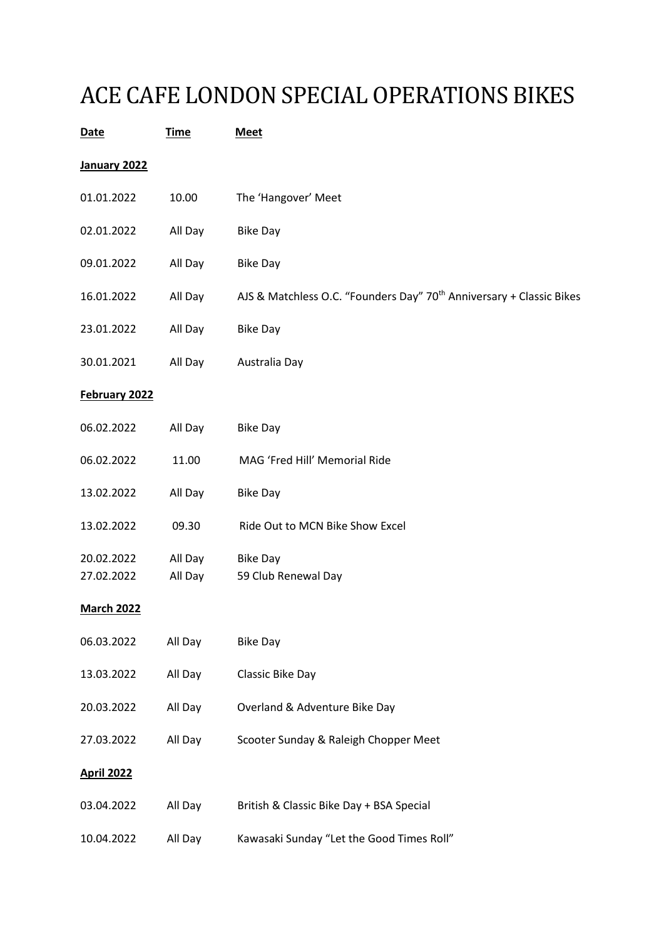## ACE CAFE LONDON SPECIAL OPERATIONS BIKES

| <b>Date</b>              | <b>Time</b>        | <b>Meet</b>                                                                      |  |
|--------------------------|--------------------|----------------------------------------------------------------------------------|--|
| January 2022             |                    |                                                                                  |  |
| 01.01.2022               | 10.00              | The 'Hangover' Meet                                                              |  |
| 02.01.2022               | All Day            | <b>Bike Day</b>                                                                  |  |
| 09.01.2022               | All Day            | <b>Bike Day</b>                                                                  |  |
| 16.01.2022               | All Day            | AJS & Matchless O.C. "Founders Day" 70 <sup>th</sup> Anniversary + Classic Bikes |  |
| 23.01.2022               | All Day            | <b>Bike Day</b>                                                                  |  |
| 30.01.2021               | All Day            | Australia Day                                                                    |  |
| February 2022            |                    |                                                                                  |  |
| 06.02.2022               | All Day            | <b>Bike Day</b>                                                                  |  |
| 06.02.2022               | 11.00              | MAG 'Fred Hill' Memorial Ride                                                    |  |
| 13.02.2022               | All Day            | <b>Bike Day</b>                                                                  |  |
| 13.02.2022               | 09.30              | Ride Out to MCN Bike Show Excel                                                  |  |
| 20.02.2022<br>27.02.2022 | All Day<br>All Day | <b>Bike Day</b><br>59 Club Renewal Day                                           |  |
| <b>March 2022</b>        |                    |                                                                                  |  |
| 06.03.2022               | All Day            | <b>Bike Day</b>                                                                  |  |
| 13.03.2022               | All Day            | Classic Bike Day                                                                 |  |
| 20.03.2022               | All Day            | Overland & Adventure Bike Day                                                    |  |
| 27.03.2022               | All Day            | Scooter Sunday & Raleigh Chopper Meet                                            |  |
| <b>April 2022</b>        |                    |                                                                                  |  |
| 03.04.2022               | All Day            | British & Classic Bike Day + BSA Special                                         |  |
| 10.04.2022               | All Day            | Kawasaki Sunday "Let the Good Times Roll"                                        |  |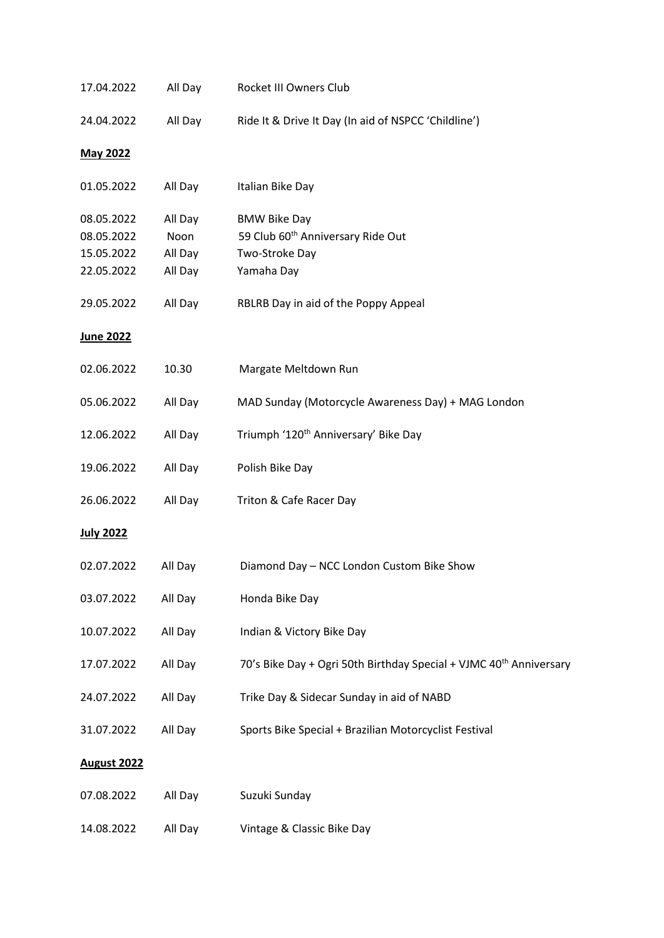| 17.04.2022                                           | All Day                               | Rocket III Owners Club                                                                               |  |
|------------------------------------------------------|---------------------------------------|------------------------------------------------------------------------------------------------------|--|
| 24.04.2022                                           | All Day                               | Ride It & Drive It Day (In aid of NSPCC 'Childline')                                                 |  |
| <b>May 2022</b>                                      |                                       |                                                                                                      |  |
| 01.05.2022                                           | All Day                               | Italian Bike Day                                                                                     |  |
| 08.05.2022<br>08.05.2022<br>15.05.2022<br>22.05.2022 | All Day<br>Noon<br>All Day<br>All Day | <b>BMW Bike Day</b><br>59 Club 60 <sup>th</sup> Anniversary Ride Out<br>Two-Stroke Day<br>Yamaha Day |  |
| 29.05.2022                                           | All Day                               | RBLRB Day in aid of the Poppy Appeal                                                                 |  |
| <u>June 2022</u>                                     |                                       |                                                                                                      |  |
| 02.06.2022                                           | 10.30                                 | Margate Meltdown Run                                                                                 |  |
| 05.06.2022                                           | All Day                               | MAD Sunday (Motorcycle Awareness Day) + MAG London                                                   |  |
| 12.06.2022                                           | All Day                               | Triumph '120 <sup>th</sup> Anniversary' Bike Day                                                     |  |
| 19.06.2022                                           | All Day                               | Polish Bike Day                                                                                      |  |
| 26.06.2022                                           | All Day                               | Triton & Cafe Racer Day                                                                              |  |
| July 2022                                            |                                       |                                                                                                      |  |
| 02.07.2022                                           | All Day                               | Diamond Day - NCC London Custom Bike Show                                                            |  |
| 03.07.2022                                           | All Day                               | Honda Bike Day                                                                                       |  |
| 10.07.2022                                           | All Day                               | Indian & Victory Bike Day                                                                            |  |
| 17.07.2022                                           | All Day                               | 70's Bike Day + Ogri 50th Birthday Special + VJMC 40 <sup>th</sup> Anniversary                       |  |
| 24.07.2022                                           | All Day                               | Trike Day & Sidecar Sunday in aid of NABD                                                            |  |
| 31.07.2022                                           | All Day                               | Sports Bike Special + Brazilian Motorcyclist Festival                                                |  |
| <b>August 2022</b>                                   |                                       |                                                                                                      |  |
| 07.08.2022                                           | All Day                               | Suzuki Sunday                                                                                        |  |
| 14.08.2022                                           | All Day                               | Vintage & Classic Bike Day                                                                           |  |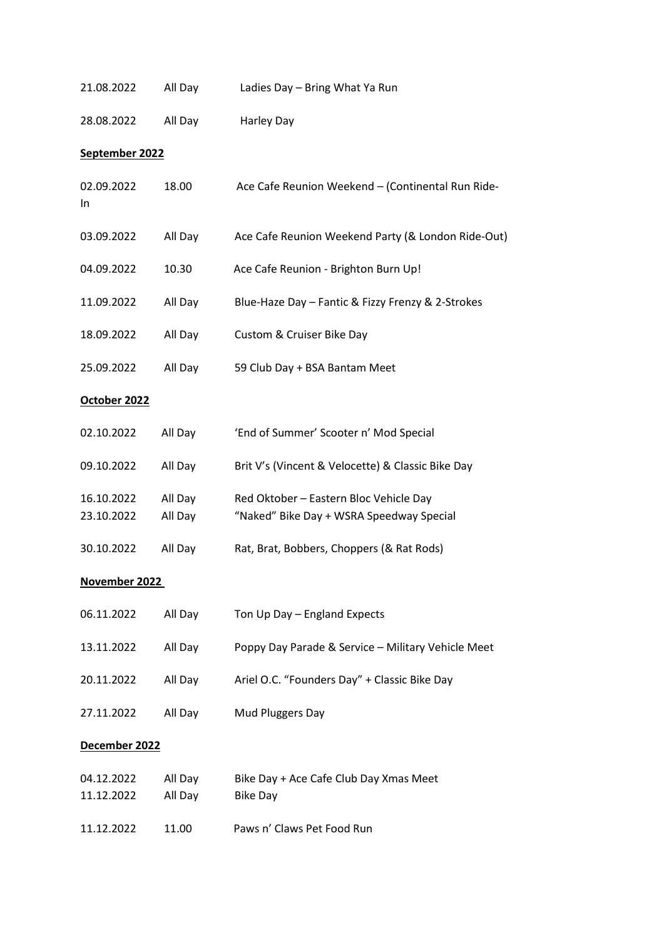| 21.08.2022               | All Day            | Ladies Day - Bring What Ya Run                                                     |  |  |
|--------------------------|--------------------|------------------------------------------------------------------------------------|--|--|
| 28.08.2022               | All Day            | Harley Day                                                                         |  |  |
| September 2022           |                    |                                                                                    |  |  |
| 02.09.2022<br>In         | 18.00              | Ace Cafe Reunion Weekend - (Continental Run Ride-                                  |  |  |
| 03.09.2022               | All Day            | Ace Cafe Reunion Weekend Party (& London Ride-Out)                                 |  |  |
| 04.09.2022               | 10.30              | Ace Cafe Reunion - Brighton Burn Up!                                               |  |  |
| 11.09.2022               | All Day            | Blue-Haze Day - Fantic & Fizzy Frenzy & 2-Strokes                                  |  |  |
| 18.09.2022               | All Day            | Custom & Cruiser Bike Day                                                          |  |  |
| 25.09.2022               | All Day            | 59 Club Day + BSA Bantam Meet                                                      |  |  |
| October 2022             |                    |                                                                                    |  |  |
| 02.10.2022               | All Day            | 'End of Summer' Scooter n' Mod Special                                             |  |  |
| 09.10.2022               | All Day            | Brit V's (Vincent & Velocette) & Classic Bike Day                                  |  |  |
| 16.10.2022<br>23.10.2022 | All Day<br>All Day | Red Oktober - Eastern Bloc Vehicle Day<br>"Naked" Bike Day + WSRA Speedway Special |  |  |
| 30.10.2022               | All Day            | Rat, Brat, Bobbers, Choppers (& Rat Rods)                                          |  |  |
| November 2022            |                    |                                                                                    |  |  |
| 06.11.2022               | All Day            | Ton Up Day - England Expects                                                       |  |  |
| 13.11.2022               | All Day            | Poppy Day Parade & Service - Military Vehicle Meet                                 |  |  |
| 20.11.2022               | All Day            | Ariel O.C. "Founders Day" + Classic Bike Day                                       |  |  |
| 27.11.2022               | All Day            | Mud Pluggers Day                                                                   |  |  |
| December 2022            |                    |                                                                                    |  |  |
| 04.12.2022<br>11.12.2022 | All Day<br>All Day | Bike Day + Ace Cafe Club Day Xmas Meet<br><b>Bike Day</b>                          |  |  |
| 11.12.2022               | 11.00              | Paws n' Claws Pet Food Run                                                         |  |  |